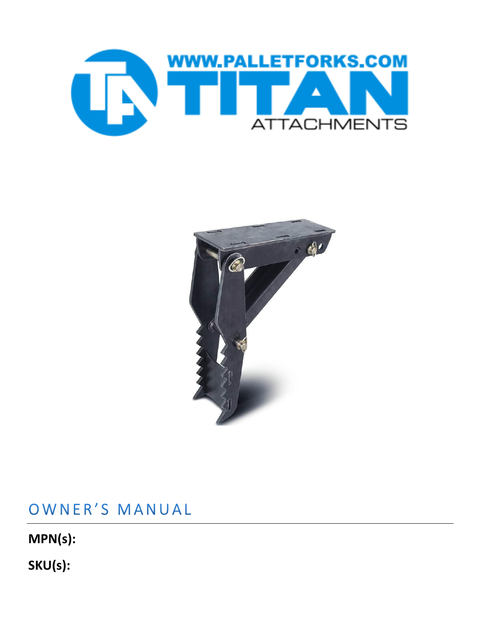



## OWNER'S MANUAL

**MPN(s):**

**SKU(s):**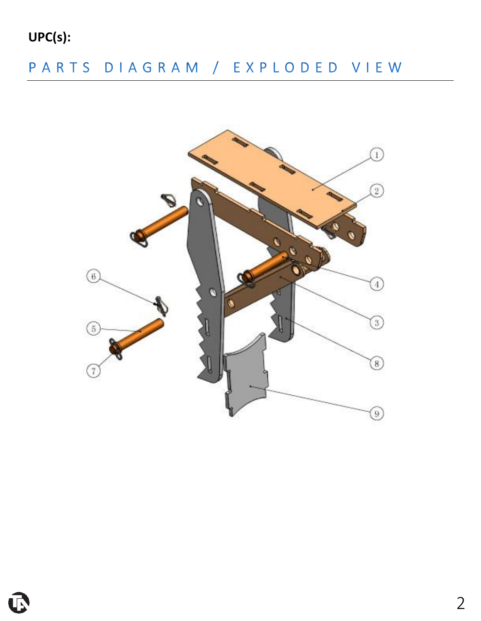**UPC(s):**

# PARTS DIAGRAM / EXPLODED VIEW



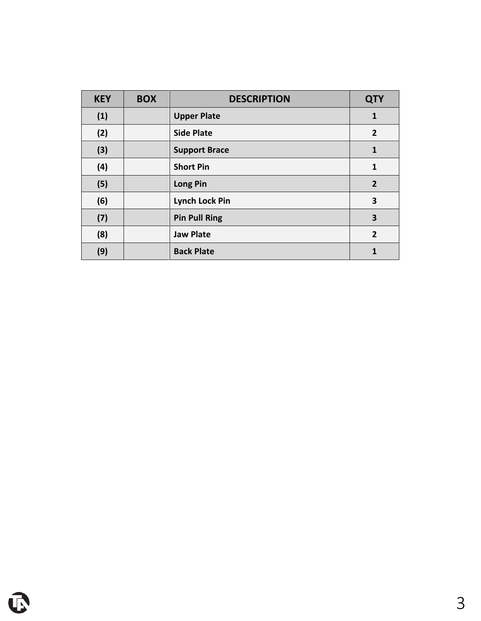| <b>KEY</b> | <b>BOX</b> | <b>DESCRIPTION</b>    | <b>QTY</b>     |
|------------|------------|-----------------------|----------------|
| (1)        |            | <b>Upper Plate</b>    | 1              |
| (2)        |            | <b>Side Plate</b>     | $\overline{2}$ |
| (3)        |            | <b>Support Brace</b>  | $\mathbf{1}$   |
| (4)        |            | <b>Short Pin</b>      | $\mathbf{1}$   |
| (5)        |            | <b>Long Pin</b>       | $\overline{2}$ |
| (6)        |            | <b>Lynch Lock Pin</b> | 3              |
| (7)        |            | <b>Pin Pull Ring</b>  | 3              |
| (8)        |            | <b>Jaw Plate</b>      | $\overline{2}$ |
| (9)        |            | <b>Back Plate</b>     | 1              |

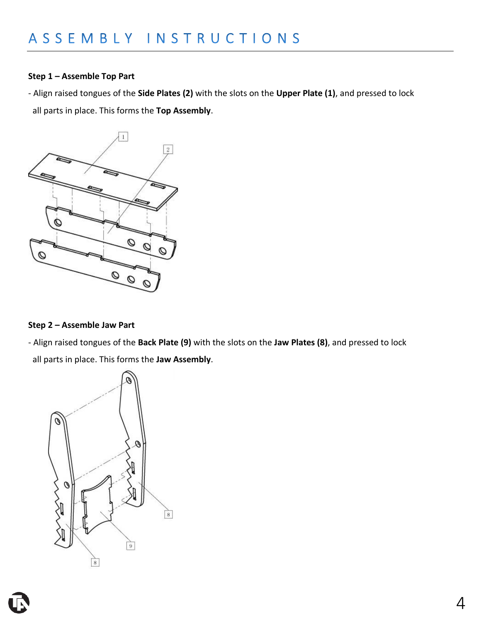### **Step 1 – Assemble Top Part**

- Align raised tongues of the **Side Plates (2)** with the slots on the **Upper Plate (1)**, and pressed to lock all parts in place. This forms the **Top Assembly**.



#### **Step 2 – Assemble Jaw Part**

- Align raised tongues of the **Back Plate (9)** with the slots on the **Jaw Plates (8)**, and pressed to lock all parts in place. This forms the **Jaw Assembly**.